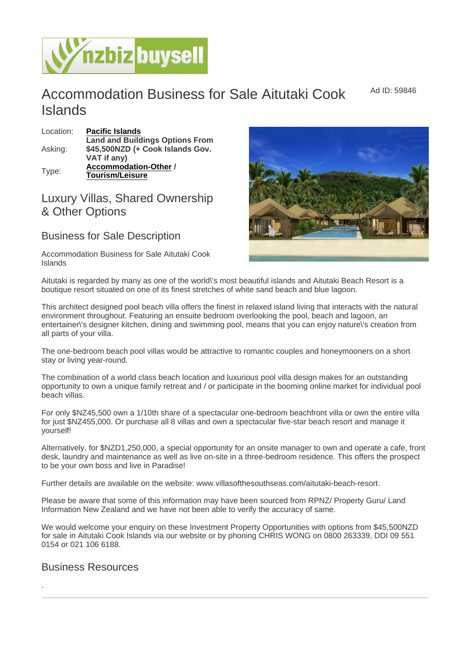Ad ID: 59846

## Accommodation Business for Sale Aitutaki Cook Islands

| Location: | Pacific Islands                  |
|-----------|----------------------------------|
| Asking:   | Land and Buildings Options From  |
|           | \$45,500NZD (+ Cook Islands Gov. |
|           | VAT if any)                      |
| Type:     | Accommodation-Other              |
|           | Tourism/Leisure                  |

## Luxury Villas, Shared Ownership & Other Options

## Business for Sale Description

Accommodation Business for Sale Aitutaki Cook Islands

Aitutaki is regarded by many as one of the world\'s most beautiful islands and Aitutaki Beach Resort is a boutique resort situated on one of its finest stretches of white sand beach and blue lagoon.

This architect designed pool beach villa offers the finest in relaxed island living that interacts with the natural environment throughout. Featuring an ensuite bedroom overlooking the pool, beach and lagoon, an entertainer\'s designer kitchen, dining and swimming pool, means that you can enjoy nature\'s creation from all parts of your villa.

The one-bedroom beach pool villas would be attractive to romantic couples and honeymooners on a short stay or living year-round.

The combination of a world class beach location and luxurious pool villa design makes for an outstanding opportunity to own a unique family retreat and / or participate in the booming online market for individual pool beach villas.

For only \$NZ45,500 own a 1/10th share of a spectacular one-bedroom beachfront villa or own the entire villa for just \$NZ455,000. Or purchase all 8 villas and own a spectacular five-star beach resort and manage it yourself!

Alternatively, for \$NZD1,250,000, a special opportunity for an onsite manager to own and operate a cafe, front desk, laundry and maintenance as well as live on-site in a three-bedroom residence. This offers the prospect to be your own boss and live in Paradise!

Further details are available on the website: www.villasofthesouthseas.com/aitutaki-beach-resort.

Please be aware that some of this information may have been sourced from RPNZ/ Property Guru/ Land Information New Zealand and we have not been able to verify the accuracy of same.

We would welcome your enquiry on these Investment Property Opportunities with options from \$45,500NZD for sale in Aitutaki Cook Islands via our website or by phoning CHRIS WONG on 0800 263339, DDI 09 551 0154 or 021 106 6188.

## Business Resources

.